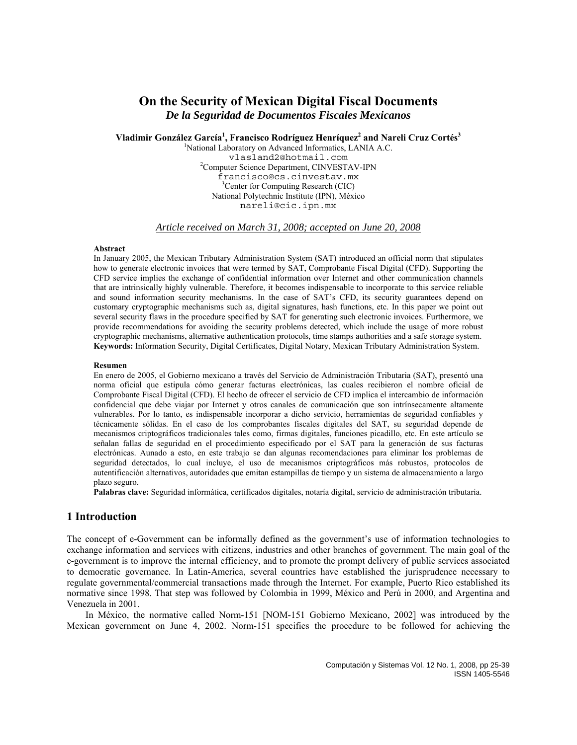# **On the Security of Mexican Digital Fiscal Documents**  *De la Seguridad de Documentos Fiscales Mexicanos*

 $V$ ladimir González García<sup>1</sup>, Francisco Rodríguez Henríquez<sup>2</sup> and Nareli Cruz Cortés<sup>3</sup>

<sup>1</sup>National Laboratory on Advanced Informatics, LANIA A.C. vlasland2@hotmail.com <sup>2</sup> <sup>2</sup>Computer Science Department, CINVESTAV-IPN francisco@cs.cinvestav.mx <sup>3</sup> Center for Computing Research (CIC) National Polytechnic Institute (IPN), México nareli@cic.ipn.mx

*Article received on March 31, 2008; accepted on June 20, 2008*

#### **Abstract**

In January 2005, the Mexican Tributary Administration System (SAT) introduced an official norm that stipulates how to generate electronic invoices that were termed by SAT, Comprobante Fiscal Digital (CFD). Supporting the CFD service implies the exchange of confidential information over Internet and other communication channels that are intrinsically highly vulnerable. Therefore, it becomes indispensable to incorporate to this service reliable and sound information security mechanisms. In the case of SAT's CFD, its security guarantees depend on customary cryptographic mechanisms such as, digital signatures, hash functions, etc. In this paper we point out several security flaws in the procedure specified by SAT for generating such electronic invoices. Furthermore, we provide recommendations for avoiding the security problems detected, which include the usage of more robust cryptographic mechanisms, alternative authentication protocols, time stamps authorities and a safe storage system. **Keywords:** Information Security, Digital Certificates, Digital Notary, Mexican Tributary Administration System.

### **Resumen**

En enero de 2005, el Gobierno mexicano a través del Servicio de Administración Tributaria (SAT), presentó una norma oficial que estipula cómo generar facturas electrónicas, las cuales recibieron el nombre oficial de Comprobante Fiscal Digital (CFD). El hecho de ofrecer el servicio de CFD implica el intercambio de información confidencial que debe viajar por Internet y otros canales de comunicación que son intrínsecamente altamente vulnerables. Por lo tanto, es indispensable incorporar a dicho servicio, herramientas de seguridad confiables y técnicamente sólidas. En el caso de los comprobantes fiscales digitales del SAT, su seguridad depende de mecanismos criptográficos tradicionales tales como, firmas digitales, funciones picadillo, etc. En este artículo se señalan fallas de seguridad en el procedimiento especificado por el SAT para la generación de sus facturas electrónicas. Aunado a esto, en este trabajo se dan algunas recomendaciones para eliminar los problemas de seguridad detectados, lo cual incluye, el uso de mecanismos criptográficos más robustos, protocolos de autentificación alternativos, autoridades que emitan estampillas de tiempo y un sistema de almacenamiento a largo plazo seguro.

**Palabras clave:** Seguridad informática, certificados digitales, notaría digital, servicio de administración tributaria.

# **1 Introduction**

The concept of e-Government can be informally defined as the government's use of information technologies to exchange information and services with citizens, industries and other branches of government. The main goal of the e-government is to improve the internal efficiency, and to promote the prompt delivery of public services associated to democratic governance. In Latin-America, several countries have established the jurisprudence necessary to regulate governmental/commercial transactions made through the Internet. For example, Puerto Rico established its normative since 1998. That step was followed by Colombia in 1999, México and Perú in 2000, and Argentina and Venezuela in 2001.

In México, the normative called Norm-151 [NOM-151 Gobierno Mexicano, 2002] was introduced by the Mexican government on June 4, 2002. Norm-151 specifies the procedure to be followed for achieving the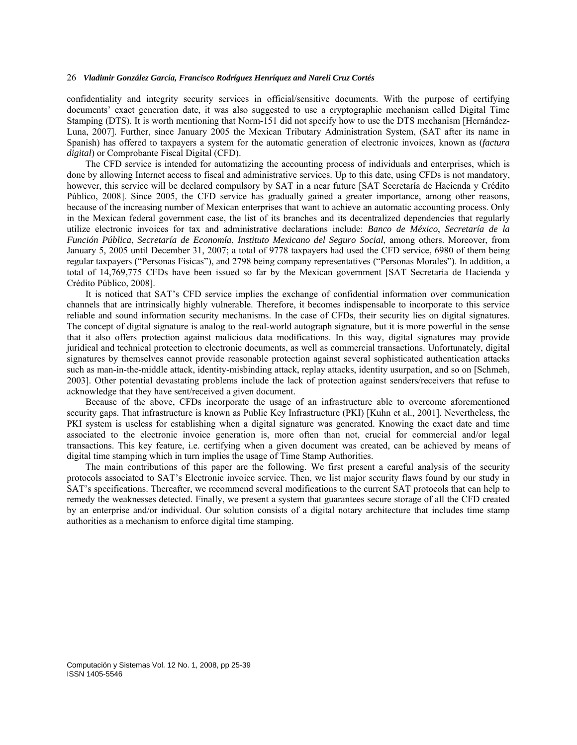confidentiality and integrity security services in official/sensitive documents. With the purpose of certifying documents' exact generation date, it was also suggested to use a cryptographic mechanism called Digital Time Stamping (DTS). It is worth mentioning that Norm-151 did not specify how to use the DTS mechanism [Hernández-Luna, 2007]. Further, since January 2005 the Mexican Tributary Administration System, (SAT after its name in Spanish) has offered to taxpayers a system for the automatic generation of electronic invoices, known as (*factura digital*) or Comprobante Fiscal Digital (CFD).

The CFD service is intended for automatizing the accounting process of individuals and enterprises, which is done by allowing Internet access to fiscal and administrative services. Up to this date, using CFDs is not mandatory, however, this service will be declared compulsory by SAT in a near future [SAT Secretaría de Hacienda y Crédito Público, 2008]. Since 2005, the CFD service has gradually gained a greater importance, among other reasons, because of the increasing number of Mexican enterprises that want to achieve an automatic accounting process. Only in the Mexican federal government case, the list of its branches and its decentralized dependencies that regularly utilize electronic invoices for tax and administrative declarations include: *Banco de México*, *Secretaría de la Función Pública*, *Secretaría de Economía*, *Instituto Mexicano del Seguro Social*, among others. Moreover, from January 5, 2005 until December 31, 2007; a total of 9778 taxpayers had used the CFD service, 6980 of them being regular taxpayers ("Personas Físicas"), and 2798 being company representatives ("Personas Morales"). In addition, a total of 14,769,775 CFDs have been issued so far by the Mexican government [SAT Secretaría de Hacienda y Crédito Público, 2008].

It is noticed that SAT's CFD service implies the exchange of confidential information over communication channels that are intrinsically highly vulnerable. Therefore, it becomes indispensable to incorporate to this service reliable and sound information security mechanisms. In the case of CFDs, their security lies on digital signatures. The concept of digital signature is analog to the real-world autograph signature, but it is more powerful in the sense that it also offers protection against malicious data modifications. In this way, digital signatures may provide juridical and technical protection to electronic documents, as well as commercial transactions. Unfortunately, digital signatures by themselves cannot provide reasonable protection against several sophisticated authentication attacks such as man-in-the-middle attack, identity-misbinding attack, replay attacks, identity usurpation, and so on [Schmeh, 2003]. Other potential devastating problems include the lack of protection against senders/receivers that refuse to acknowledge that they have sent/received a given document.

Because of the above, CFDs incorporate the usage of an infrastructure able to overcome aforementioned security gaps. That infrastructure is known as Public Key Infrastructure (PKI) [Kuhn et al., 2001]. Nevertheless, the PKI system is useless for establishing when a digital signature was generated. Knowing the exact date and time associated to the electronic invoice generation is, more often than not, crucial for commercial and/or legal transactions. This key feature, i.e. certifying when a given document was created, can be achieved by means of digital time stamping which in turn implies the usage of Time Stamp Authorities.

The main contributions of this paper are the following. We first present a careful analysis of the security protocols associated to SAT's Electronic invoice service. Then, we list major security flaws found by our study in SAT's specifications. Thereafter, we recommend several modifications to the current SAT protocols that can help to remedy the weaknesses detected. Finally, we present a system that guarantees secure storage of all the CFD created by an enterprise and/or individual. Our solution consists of a digital notary architecture that includes time stamp authorities as a mechanism to enforce digital time stamping.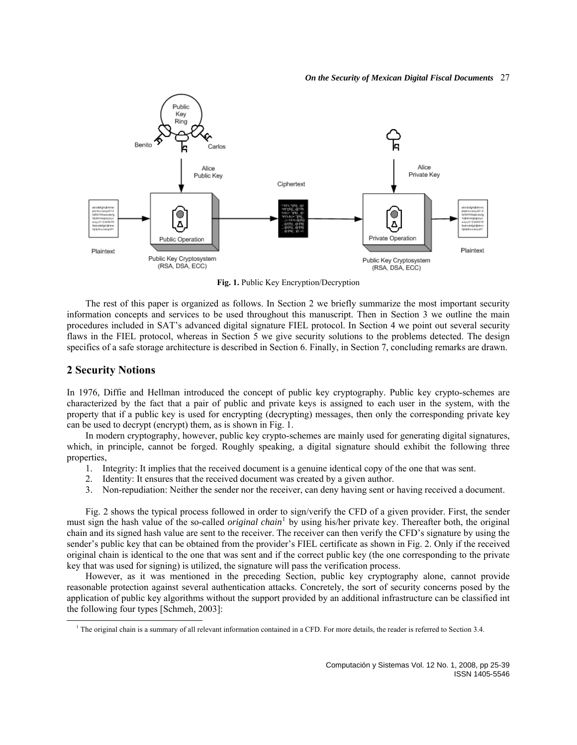#### *On the Security of Mexican Digital Fiscal Documents* 27



**Fig. 1.** Public Key Encryption/Decryption

The rest of this paper is organized as follows. In Section 2 we briefly summarize the most important security information concepts and services to be used throughout this manuscript. Then in Section 3 we outline the main procedures included in SAT's advanced digital signature FIEL protocol. In Section 4 we point out several security flaws in the FIEL protocol, whereas in Section 5 we give security solutions to the problems detected. The design specifics of a safe storage architecture is described in Section 6. Finally, in Section 7, concluding remarks are drawn.

### **2 Security Notions**

In 1976, Diffie and Hellman introduced the concept of public key cryptography. Public key crypto-schemes are characterized by the fact that a pair of public and private keys is assigned to each user in the system, with the property that if a public key is used for encrypting (decrypting) messages, then only the corresponding private key can be used to decrypt (encrypt) them, as is shown in Fig. 1.

In modern cryptography, however, public key crypto-schemes are mainly used for generating digital signatures, which, in principle, cannot be forged. Roughly speaking, a digital signature should exhibit the following three properties,

- 1. Integrity: It implies that the received document is a genuine identical copy of the one that was sent.
- 2. Identity: It ensures that the received document was created by a given author.
- 3. Non-repudiation: Neither the sender nor the receiver, can deny having sent or having received a document.

Fig. 2 shows the typical process followed in order to sign/verify the CFD of a given provider. First, the sender must sign the hash value of the so-called *original chain*<sup>[1](#page-2-0)</sup> by using his/her private key. Thereafter both, the original chain and its signed hash value are sent to the receiver. The receiver can then verify the CFD's signature by using the sender's public key that can be obtained from the provider's FIEL certificate as shown in Fig. 2. Only if the received original chain is identical to the one that was sent and if the correct public key (the one corresponding to the private key that was used for signing) is utilized, the signature will pass the verification process.

However, as it was mentioned in the preceding Section, public key cryptography alone, cannot provide reasonable protection against several authentication attacks. Concretely, the sort of security concerns posed by the application of public key algorithms without the support provided by an additional infrastructure can be classified int the following four types [Schmeh, 2003]:

<span id="page-2-0"></span> $\overline{\phantom{a}}$ <sup>1</sup> The original chain is a summary of all relevant information contained in a CFD. For more details, the reader is referred to Section 3.4.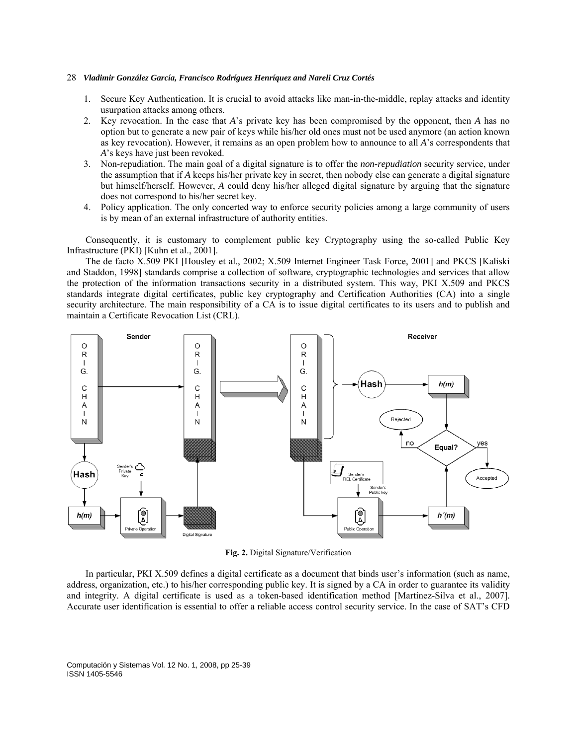- 1. Secure Key Authentication. It is crucial to avoid attacks like man-in-the-middle, replay attacks and identity usurpation attacks among others.
- 2. Key revocation. In the case that *A*'s private key has been compromised by the opponent, then *A* has no option but to generate a new pair of keys while his/her old ones must not be used anymore (an action known as key revocation). However, it remains as an open problem how to announce to all *A*'s correspondents that *A*'s keys have just been revoked.
- 3. Non-repudiation. The main goal of a digital signature is to offer the *non-repudiation* security service, under the assumption that if *A* keeps his/her private key in secret, then nobody else can generate a digital signature but himself/herself. However, *A* could deny his/her alleged digital signature by arguing that the signature does not correspond to his/her secret key.
- 4. Policy application. The only concerted way to enforce security policies among a large community of users is by mean of an external infrastructure of authority entities.

Consequently, it is customary to complement public key Cryptography using the so-called Public Key Infrastructure (PKI) [Kuhn et al., 2001].

The de facto X.509 PKI [Housley et al., 2002; X.509 Internet Engineer Task Force, 2001] and PKCS [Kaliski and Staddon, 1998] standards comprise a collection of software, cryptographic technologies and services that allow the protection of the information transactions security in a distributed system. This way, PKI X.509 and PKCS standards integrate digital certificates, public key cryptography and Certification Authorities (CA) into a single security architecture. The main responsibility of a CA is to issue digital certificates to its users and to publish and maintain a Certificate Revocation List (CRL).



**Fig. 2.** Digital Signature/Verification

In particular, PKI X.509 defines a digital certificate as a document that binds user's information (such as name, address, organization, etc.) to his/her corresponding public key. It is signed by a CA in order to guarantee its validity and integrity. A digital certificate is used as a token-based identification method [Martínez-Silva et al., 2007]. Accurate user identification is essential to offer a reliable access control security service. In the case of SAT's CFD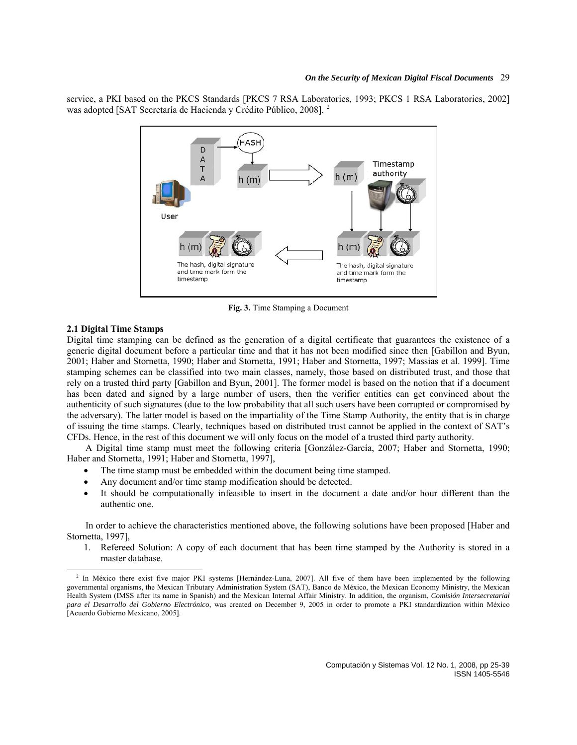#### *On the Security of Mexican Digital Fiscal Documents* 29

service, a PKI based on the PKCS Standards [PKCS 7 RSA Laboratories, 1993; PKCS 1 RSA Laboratories, 2002] was adopted [SAT Secretaría de Hacienda y Crédito Público, 2008]. [2](#page-4-0)



**Fig. 3.** Time Stamping a Document

### **2.1 Digital Time Stamps**

Digital time stamping can be defined as the generation of a digital certificate that guarantees the existence of a generic digital document before a particular time and that it has not been modified since then [Gabillon and Byun, 2001; Haber and Stornetta, 1990; Haber and Stornetta, 1991; Haber and Stornetta, 1997; Massias et al. 1999]. Time stamping schemes can be classified into two main classes, namely, those based on distributed trust, and those that rely on a trusted third party [Gabillon and Byun, 2001]. The former model is based on the notion that if a document has been dated and signed by a large number of users, then the verifier entities can get convinced about the authenticity of such signatures (due to the low probability that all such users have been corrupted or compromised by the adversary). The latter model is based on the impartiality of the Time Stamp Authority, the entity that is in charge of issuing the time stamps. Clearly, techniques based on distributed trust cannot be applied in the context of SAT's CFDs. Hence, in the rest of this document we will only focus on the model of a trusted third party authority.

A Digital time stamp must meet the following criteria [González-García, 2007; Haber and Stornetta, 1990; Haber and Stornetta, 1991; Haber and Stornetta, 1997],

- The time stamp must be embedded within the document being time stamped.
- Any document and/or time stamp modification should be detected.
- It should be computationally infeasible to insert in the document a date and/or hour different than the authentic one.

In order to achieve the characteristics mentioned above, the following solutions have been proposed [Haber and Stornetta, 1997],

1. Refereed Solution: A copy of each document that has been time stamped by the Authority is stored in a master database.

<span id="page-4-0"></span><sup>&</sup>lt;sup>2</sup> In México there exist five major PKI systems [Hernández-Luna, 2007]. All five of them have been implemented by the following governmental organisms, the Mexican Tributary Administration System (SAT), Banco de México, the Mexican Economy Ministry, the Mexican Health System (IMSS after its name in Spanish) and the Mexican Internal Affair Ministry. In addition, the organism, *Comisión Intersecretarial para el Desarrollo del Gobierno Electrónico*, was created on December 9, 2005 in order to promote a PKI standardization within México [Acuerdo Gobierno Mexicano, 2005].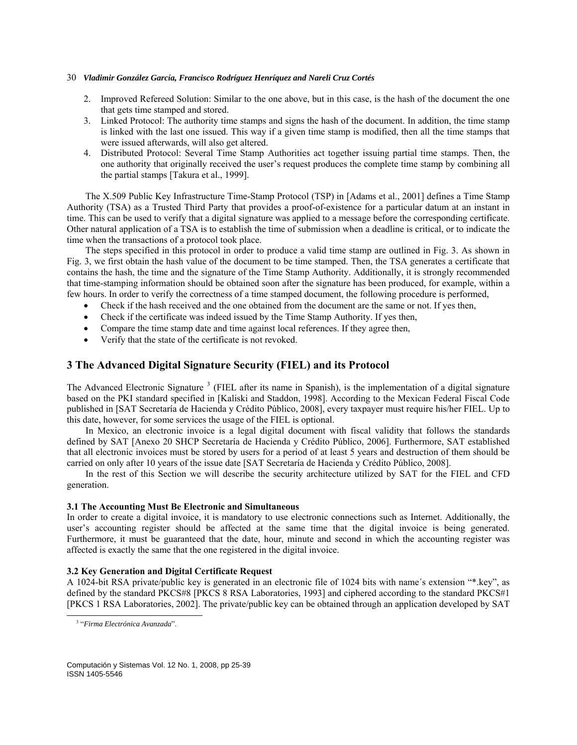- 2. Improved Refereed Solution: Similar to the one above, but in this case, is the hash of the document the one that gets time stamped and stored.
- 3. Linked Protocol: The authority time stamps and signs the hash of the document. In addition, the time stamp is linked with the last one issued. This way if a given time stamp is modified, then all the time stamps that were issued afterwards, will also get altered.
- 4. Distributed Protocol: Several Time Stamp Authorities act together issuing partial time stamps. Then, the one authority that originally received the user's request produces the complete time stamp by combining all the partial stamps [Takura et al., 1999].

The X.509 Public Key Infrastructure Time-Stamp Protocol (TSP) in [Adams et al., 2001] defines a Time Stamp Authority (TSA) as a Trusted Third Party that provides a proof-of-existence for a particular datum at an instant in time. This can be used to verify that a digital signature was applied to a message before the corresponding certificate. Other natural application of a TSA is to establish the time of submission when a deadline is critical, or to indicate the time when the transactions of a protocol took place.

The steps specified in this protocol in order to produce a valid time stamp are outlined in Fig. 3. As shown in Fig. 3, we first obtain the hash value of the document to be time stamped. Then, the TSA generates a certificate that contains the hash, the time and the signature of the Time Stamp Authority. Additionally, it is strongly recommended that time-stamping information should be obtained soon after the signature has been produced, for example, within a few hours. In order to verify the correctness of a time stamped document, the following procedure is performed,

- Check if the hash received and the one obtained from the document are the same or not. If yes then,
- Check if the certificate was indeed issued by the Time Stamp Authority. If yes then,
- Compare the time stamp date and time against local references. If they agree then,
- Verify that the state of the certificate is not revoked.

# **3 The Advanced Digital Signature Security (FIEL) and its Protocol**

The Advanced Electronic Signature<sup>[3](#page-5-0)</sup> (FIEL after its name in Spanish), is the implementation of a digital signature based on the PKI standard specified in [Kaliski and Staddon, 1998]. According to the Mexican Federal Fiscal Code published in [SAT Secretaría de Hacienda y Crédito Público, 2008], every taxpayer must require his/her FIEL. Up to this date, however, for some services the usage of the FIEL is optional.

In Mexico, an electronic invoice is a legal digital document with fiscal validity that follows the standards defined by SAT [Anexo 20 SHCP Secretaría de Hacienda y Crédito Público, 2006]. Furthermore, SAT established that all electronic invoices must be stored by users for a period of at least 5 years and destruction of them should be carried on only after 10 years of the issue date [SAT Secretaría de Hacienda y Crédito Público, 2008].

In the rest of this Section we will describe the security architecture utilized by SAT for the FIEL and CFD generation.

### **3.1 The Accounting Must Be Electronic and Simultaneous**

In order to create a digital invoice, it is mandatory to use electronic connections such as Internet. Additionally, the user's accounting register should be affected at the same time that the digital invoice is being generated. Furthermore, it must be guaranteed that the date, hour, minute and second in which the accounting register was affected is exactly the same that the one registered in the digital invoice.

### **3.2 Key Generation and Digital Certificate Request**

A 1024-bit RSA private/public key is generated in an electronic file of 1024 bits with name´s extension "\*.key", as defined by the standard PKCS#8 [PKCS 8 RSA Laboratories, 1993] and ciphered according to the standard PKCS#1 [PKCS 1 RSA Laboratories, 2002]. The private/public key can be obtained through an application developed by SAT

<span id="page-5-0"></span> $\overline{a}$ 

<sup>3</sup> "*Firma Electrónica Avanzada*".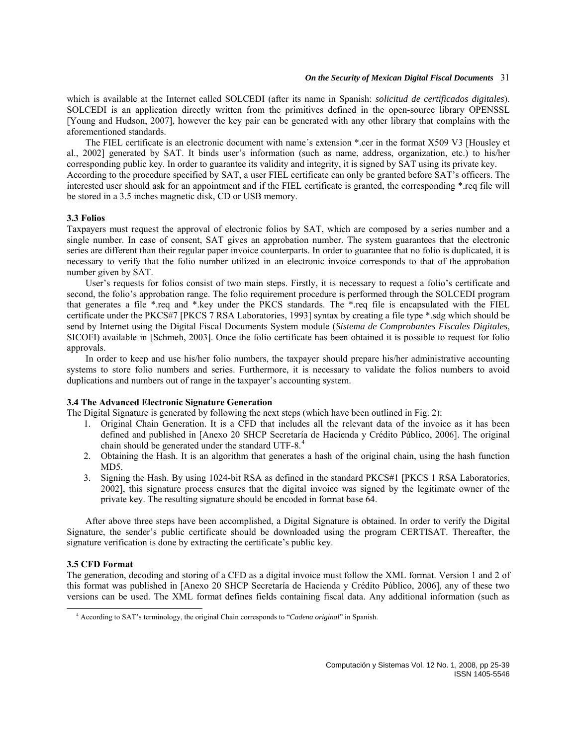### *On the Security of Mexican Digital Fiscal Documents* 31

which is available at the Internet called SOLCEDI (after its name in Spanish: *solicitud de certificados digitales*). SOLCEDI is an application directly written from the primitives defined in the open-source library OPENSSL [Young and Hudson, 2007], however the key pair can be generated with any other library that complains with the aforementioned standards.

The FIEL certificate is an electronic document with name´s extension \*.cer in the format X509 V3 [Housley et al., 2002] generated by SAT. It binds user's information (such as name, address, organization, etc.) to his/her corresponding public key. In order to guarantee its validity and integrity, it is signed by SAT using its private key. According to the procedure specified by SAT, a user FIEL certificate can only be granted before SAT's officers. The interested user should ask for an appointment and if the FIEL certificate is granted, the corresponding \*.req file will be stored in a 3.5 inches magnetic disk, CD or USB memory.

#### **3.3 Folios**

Taxpayers must request the approval of electronic folios by SAT, which are composed by a series number and a single number. In case of consent, SAT gives an approbation number. The system guarantees that the electronic series are different than their regular paper invoice counterparts. In order to guarantee that no folio is duplicated, it is necessary to verify that the folio number utilized in an electronic invoice corresponds to that of the approbation number given by SAT.

User's requests for folios consist of two main steps. Firstly, it is necessary to request a folio's certificate and second, the folio's approbation range. The folio requirement procedure is performed through the SOLCEDI program that generates a file \*.req and \*.key under the PKCS standards. The \*.req file is encapsulated with the FIEL certificate under the PKCS#7 [PKCS 7 RSA Laboratories, 1993] syntax by creating a file type \*.sdg which should be send by Internet using the Digital Fiscal Documents System module (*Sistema de Comprobantes Fiscales Digitales*, SICOFI) available in [Schmeh, 2003]. Once the folio certificate has been obtained it is possible to request for folio approvals.

In order to keep and use his/her folio numbers, the taxpayer should prepare his/her administrative accounting systems to store folio numbers and series. Furthermore, it is necessary to validate the folios numbers to avoid duplications and numbers out of range in the taxpayer's accounting system.

### **3.4 The Advanced Electronic Signature Generation**

The Digital Signature is generated by following the next steps (which have been outlined in Fig. 2):

- 1. Original Chain Generation. It is a CFD that includes all the relevant data of the invoice as it has been defined and published in [Anexo 20 SHCP Secretaría de Hacienda y Crédito Público, 2006]. The original chain should be generated under the standard UTF-8.<sup>[4](#page-6-0)</sup>
- 2. Obtaining the Hash. It is an algorithm that generates a hash of the original chain, using the hash function MD5.
- 3. Signing the Hash. By using 1024-bit RSA as defined in the standard PKCS#1 [PKCS 1 RSA Laboratories, 2002], this signature process ensures that the digital invoice was signed by the legitimate owner of the private key. The resulting signature should be encoded in format base 64.

After above three steps have been accomplished, a Digital Signature is obtained. In order to verify the Digital Signature, the sender's public certificate should be downloaded using the program CERTISAT. Thereafter, the signature verification is done by extracting the certificate's public key.

# **3.5 CFD Format**

<span id="page-6-0"></span> $\overline{a}$ 

The generation, decoding and storing of a CFD as a digital invoice must follow the XML format. Version 1 and 2 of this format was published in [Anexo 20 SHCP Secretaría de Hacienda y Crédito Público, 2006], any of these two versions can be used. The XML format defines fields containing fiscal data. Any additional information (such as

<sup>4</sup> According to SAT's terminology, the original Chain corresponds to "*Cadena original*" in Spanish.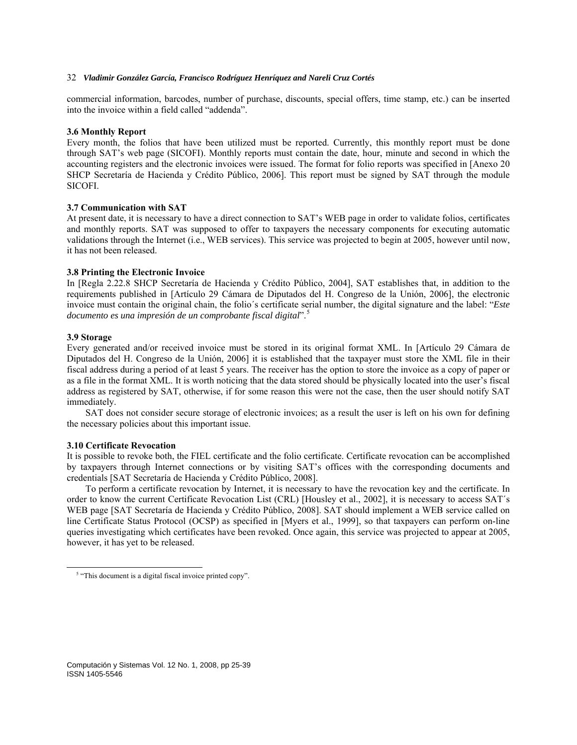commercial information, barcodes, number of purchase, discounts, special offers, time stamp, etc.) can be inserted into the invoice within a field called "addenda".

### **3.6 Monthly Report**

Every month, the folios that have been utilized must be reported. Currently, this monthly report must be done through SAT's web page (SICOFI). Monthly reports must contain the date, hour, minute and second in which the accounting registers and the electronic invoices were issued. The format for folio reports was specified in [Anexo 20 SHCP Secretaría de Hacienda y Crédito Público, 2006]. This report must be signed by SAT through the module SICOFI.

### **3.7 Communication with SAT**

At present date, it is necessary to have a direct connection to SAT's WEB page in order to validate folios, certificates and monthly reports. SAT was supposed to offer to taxpayers the necessary components for executing automatic validations through the Internet (i.e., WEB services). This service was projected to begin at 2005, however until now, it has not been released.

### **3.8 Printing the Electronic Invoice**

In [Regla 2.22.8 SHCP Secretaría de Hacienda y Crédito Público, 2004], SAT establishes that, in addition to the requirements published in [Artículo 29 Cámara de Diputados del H. Congreso de la Unión, 2006], the electronic invoice must contain the original chain, the folio´s certificate serial number, the digital signature and the label: "*Este documento es una impresión de un comprobante fiscal digital*".[5](#page-7-0)

### **3.9 Storage**

<span id="page-7-0"></span> $\overline{a}$ 

Every generated and/or received invoice must be stored in its original format XML. In [Artículo 29 Cámara de Diputados del H. Congreso de la Unión, 2006] it is established that the taxpayer must store the XML file in their fiscal address during a period of at least 5 years. The receiver has the option to store the invoice as a copy of paper or as a file in the format XML. It is worth noticing that the data stored should be physically located into the user's fiscal address as registered by SAT, otherwise, if for some reason this were not the case, then the user should notify SAT immediately.

SAT does not consider secure storage of electronic invoices; as a result the user is left on his own for defining the necessary policies about this important issue.

### **3.10 Certificate Revocation**

It is possible to revoke both, the FIEL certificate and the folio certificate. Certificate revocation can be accomplished by taxpayers through Internet connections or by visiting SAT's offices with the corresponding documents and credentials [SAT Secretaría de Hacienda y Crédito Público, 2008].

To perform a certificate revocation by Internet, it is necessary to have the revocation key and the certificate. In order to know the current Certificate Revocation List (CRL) [Housley et al., 2002], it is necessary to access SAT´s WEB page [SAT Secretaría de Hacienda y Crédito Público, 2008]. SAT should implement a WEB service called on line Certificate Status Protocol (OCSP) as specified in [Myers et al., 1999], so that taxpayers can perform on-line queries investigating which certificates have been revoked. Once again, this service was projected to appear at 2005, however, it has yet to be released.

<sup>&</sup>lt;sup>5</sup> "This document is a digital fiscal invoice printed copy".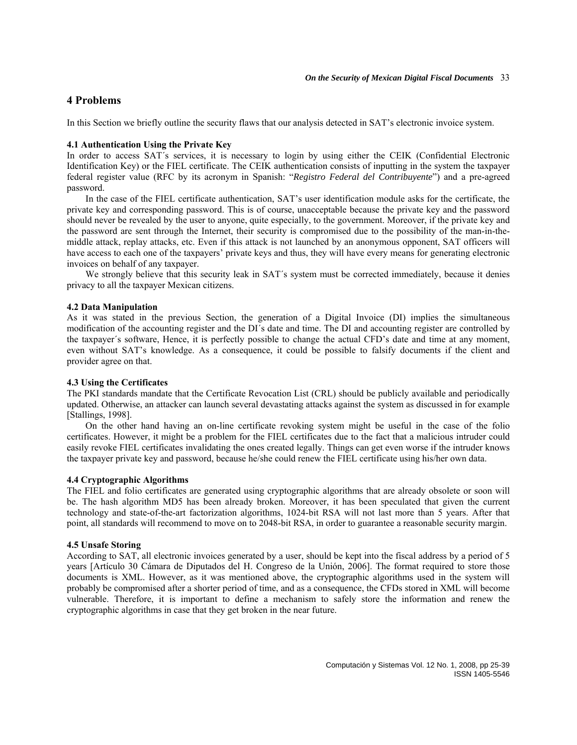# **4 Problems**

In this Section we briefly outline the security flaws that our analysis detected in SAT's electronic invoice system.

### **4.1 Authentication Using the Private Key**

In order to access SAT´s services, it is necessary to login by using either the CEIK (Confidential Electronic Identification Key) or the FIEL certificate. The CEIK authentication consists of inputting in the system the taxpayer federal register value (RFC by its acronym in Spanish: "*Registro Federal del Contribuyente*") and a pre-agreed password.

In the case of the FIEL certificate authentication, SAT's user identification module asks for the certificate, the private key and corresponding password. This is of course, unacceptable because the private key and the password should never be revealed by the user to anyone, quite especially, to the government. Moreover, if the private key and the password are sent through the Internet, their security is compromised due to the possibility of the man-in-themiddle attack, replay attacks, etc. Even if this attack is not launched by an anonymous opponent, SAT officers will have access to each one of the taxpayers' private keys and thus, they will have every means for generating electronic invoices on behalf of any taxpayer.

We strongly believe that this security leak in SAT's system must be corrected immediately, because it denies privacy to all the taxpayer Mexican citizens.

#### **4.2 Data Manipulation**

As it was stated in the previous Section, the generation of a Digital Invoice (DI) implies the simultaneous modification of the accounting register and the DI´s date and time. The DI and accounting register are controlled by the taxpayer´s software, Hence, it is perfectly possible to change the actual CFD's date and time at any moment, even without SAT's knowledge. As a consequence, it could be possible to falsify documents if the client and provider agree on that.

### **4.3 Using the Certificates**

The PKI standards mandate that the Certificate Revocation List (CRL) should be publicly available and periodically updated. Otherwise, an attacker can launch several devastating attacks against the system as discussed in for example [Stallings, 1998].

On the other hand having an on-line certificate revoking system might be useful in the case of the folio certificates. However, it might be a problem for the FIEL certificates due to the fact that a malicious intruder could easily revoke FIEL certificates invalidating the ones created legally. Things can get even worse if the intruder knows the taxpayer private key and password, because he/she could renew the FIEL certificate using his/her own data.

### **4.4 Cryptographic Algorithms**

The FIEL and folio certificates are generated using cryptographic algorithms that are already obsolete or soon will be. The hash algorithm MD5 has been already broken. Moreover, it has been speculated that given the current technology and state-of-the-art factorization algorithms, 1024-bit RSA will not last more than 5 years. After that point, all standards will recommend to move on to 2048-bit RSA, in order to guarantee a reasonable security margin.

### **4.5 Unsafe Storing**

According to SAT, all electronic invoices generated by a user, should be kept into the fiscal address by a period of 5 years [Artículo 30 Cámara de Diputados del H. Congreso de la Unión, 2006]. The format required to store those documents is XML. However, as it was mentioned above, the cryptographic algorithms used in the system will probably be compromised after a shorter period of time, and as a consequence, the CFDs stored in XML will become vulnerable. Therefore, it is important to define a mechanism to safely store the information and renew the cryptographic algorithms in case that they get broken in the near future.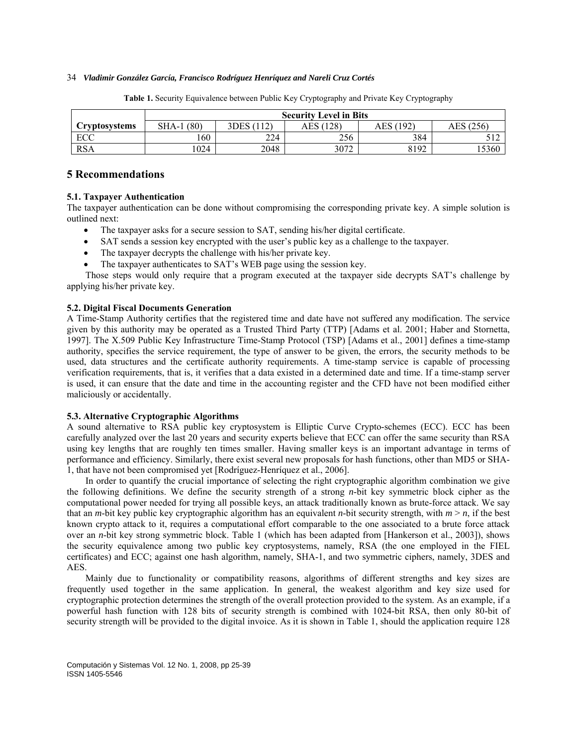|                      | <b>Security Level in Bits</b> |            |           |           |           |
|----------------------|-------------------------------|------------|-----------|-----------|-----------|
| <b>Cryptosystems</b> | (80)<br>$SHA-1$               | 3DES (112) | AES (128) | AES (192) | AES (256) |
| ECC                  | 160                           | 224        | 256       | 384       | 512       |
| <b>RSA</b>           | 1024                          | 2048       | 3072      | 8192      | .5360     |

**Table 1.** Security Equivalence between Public Key Cryptography and Private Key Cryptography

# **5 Recommendations**

### **5.1. Taxpayer Authentication**

The taxpayer authentication can be done without compromising the corresponding private key. A simple solution is outlined next:

- The taxpayer asks for a secure session to SAT, sending his/her digital certificate.
- SAT sends a session key encrypted with the user's public key as a challenge to the taxpayer.
- The taxpayer decrypts the challenge with his/her private key.
- The taxpayer authenticates to SAT's WEB page using the session key.

Those steps would only require that a program executed at the taxpayer side decrypts SAT's challenge by applying his/her private key.

### **5.2. Digital Fiscal Documents Generation**

A Time-Stamp Authority certifies that the registered time and date have not suffered any modification. The service given by this authority may be operated as a Trusted Third Party (TTP) [Adams et al. 2001; Haber and Stornetta, 1997]. The X.509 Public Key Infrastructure Time-Stamp Protocol (TSP) [Adams et al., 2001] defines a time-stamp authority, specifies the service requirement, the type of answer to be given, the errors, the security methods to be used, data structures and the certificate authority requirements. A time-stamp service is capable of processing verification requirements, that is, it verifies that a data existed in a determined date and time. If a time-stamp server is used, it can ensure that the date and time in the accounting register and the CFD have not been modified either maliciously or accidentally.

### **5.3. Alternative Cryptographic Algorithms**

A sound alternative to RSA public key cryptosystem is Elliptic Curve Crypto-schemes (ECC). ECC has been carefully analyzed over the last 20 years and security experts believe that ECC can offer the same security than RSA using key lengths that are roughly ten times smaller. Having smaller keys is an important advantage in terms of performance and efficiency. Similarly, there exist several new proposals for hash functions, other than MD5 or SHA-1, that have not been compromised yet [Rodríguez-Henríquez et al., 2006].

In order to quantify the crucial importance of selecting the right cryptographic algorithm combination we give the following definitions. We define the security strength of a strong *n*-bit key symmetric block cipher as the computational power needed for trying all possible keys, an attack traditionally known as brute-force attack. We say that an *m*-bit key public key cryptographic algorithm has an equivalent *n*-bit security strength, with  $m > n$ , if the best known crypto attack to it, requires a computational effort comparable to the one associated to a brute force attack over an *n*-bit key strong symmetric block. Table 1 (which has been adapted from [Hankerson et al., 2003]), shows the security equivalence among two public key cryptosystems, namely, RSA (the one employed in the FIEL certificates) and ECC; against one hash algorithm, namely, SHA-1, and two symmetric ciphers, namely, 3DES and AES.

Mainly due to functionality or compatibility reasons, algorithms of different strengths and key sizes are frequently used together in the same application. In general, the weakest algorithm and key size used for cryptographic protection determines the strength of the overall protection provided to the system. As an example, if a powerful hash function with 128 bits of security strength is combined with 1024-bit RSA, then only 80-bit of security strength will be provided to the digital invoice. As it is shown in Table 1, should the application require 128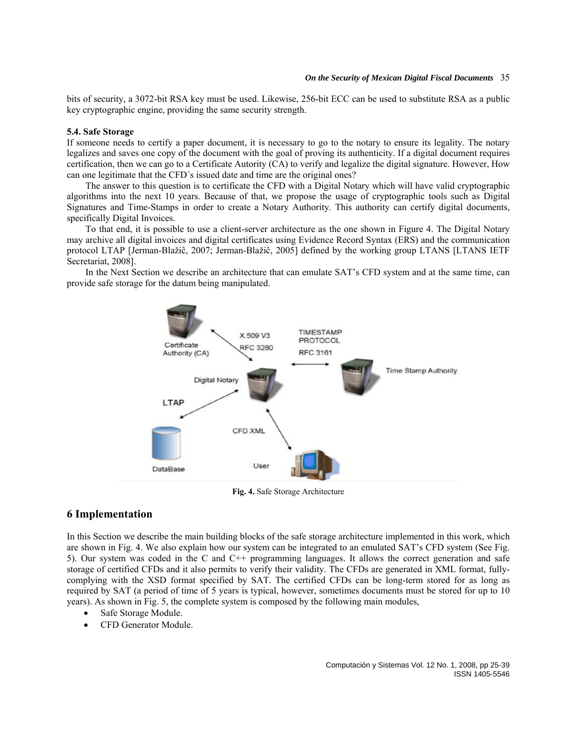bits of security, a 3072-bit RSA key must be used. Likewise, 256-bit ECC can be used to substitute RSA as a public key cryptographic engine, providing the same security strength.

#### **5.4. Safe Storage**

If someone needs to certify a paper document, it is necessary to go to the notary to ensure its legality. The notary legalizes and saves one copy of the document with the goal of proving its authenticity. If a digital document requires certification, then we can go to a Certificate Autority (CA) to verify and legalize the digital signature. However, How can one legitimate that the CFD´s issued date and time are the original ones?

The answer to this question is to certificate the CFD with a Digital Notary which will have valid cryptographic algorithms into the next 10 years. Because of that, we propose the usage of cryptographic tools such as Digital Signatures and Time-Stamps in order to create a Notary Authority. This authority can certify digital documents, specifically Digital Invoices.

To that end, it is possible to use a client-server architecture as the one shown in Figure 4. The Digital Notary may archive all digital invoices and digital certificates using Evidence Record Syntax (ERS) and the communication protocol LTAP [Jerman-Blažiĉ, 2007; Jerman-Blažiĉ, 2005] defined by the working group LTANS [LTANS IETF Secretariat, 2008].

In the Next Section we describe an architecture that can emulate SAT's CFD system and at the same time, can provide safe storage for the datum being manipulated.



**Fig. 4.** Safe Storage Architecture

# **6 Implementation**

In this Section we describe the main building blocks of the safe storage architecture implemented in this work, which are shown in Fig. 4. We also explain how our system can be integrated to an emulated SAT's CFD system (See Fig. 5). Our system was coded in the C and C++ programming languages. It allows the correct generation and safe storage of certified CFDs and it also permits to verify their validity. The CFDs are generated in XML format, fullycomplying with the XSD format specified by SAT. The certified CFDs can be long-term stored for as long as required by SAT (a period of time of 5 years is typical, however, sometimes documents must be stored for up to 10 years). As shown in Fig. 5, the complete system is composed by the following main modules,

- Safe Storage Module.
- CFD Generator Module.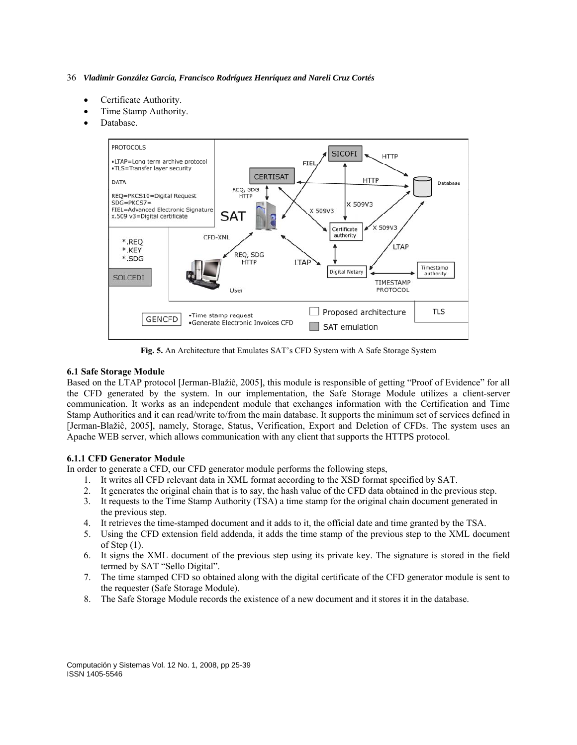- Certificate Authority.
- Time Stamp Authority.
- Database.



**Fig. 5.** An Architecture that Emulates SAT's CFD System with A Safe Storage System

### **6.1 Safe Storage Module**

Based on the LTAP protocol [Jerman-Blažiĉ, 2005], this module is responsible of getting "Proof of Evidence" for all the CFD generated by the system. In our implementation, the Safe Storage Module utilizes a client-server communication. It works as an independent module that exchanges information with the Certification and Time Stamp Authorities and it can read/write to/from the main database. It supports the minimum set of services defined in [Jerman-Blažiĉ, 2005], namely, Storage, Status, Verification, Export and Deletion of CFDs. The system uses an Apache WEB server, which allows communication with any client that supports the HTTPS protocol.

# **6.1.1 CFD Generator Module**

In order to generate a CFD, our CFD generator module performs the following steps,

- 1. It writes all CFD relevant data in XML format according to the XSD format specified by SAT.
- 2. It generates the original chain that is to say, the hash value of the CFD data obtained in the previous step.
- 3. It requests to the Time Stamp Authority (TSA) a time stamp for the original chain document generated in the previous step.
- 4. It retrieves the time-stamped document and it adds to it, the official date and time granted by the TSA.
- 5. Using the CFD extension field addenda, it adds the time stamp of the previous step to the XML document of Step  $(1)$ .
- 6. It signs the XML document of the previous step using its private key. The signature is stored in the field termed by SAT "Sello Digital".
- 7. The time stamped CFD so obtained along with the digital certificate of the CFD generator module is sent to the requester (Safe Storage Module).
- 8. The Safe Storage Module records the existence of a new document and it stores it in the database.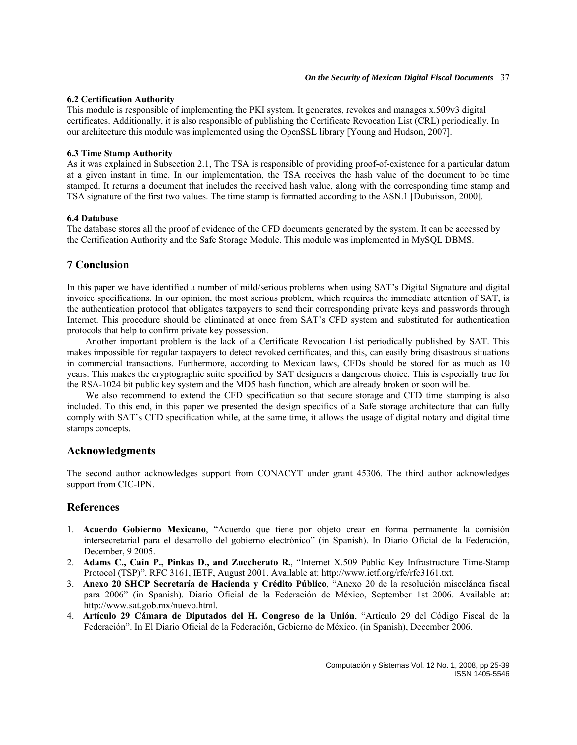### **6.2 Certification Authority**

This module is responsible of implementing the PKI system. It generates, revokes and manages x.509v3 digital certificates. Additionally, it is also responsible of publishing the Certificate Revocation List (CRL) periodically. In our architecture this module was implemented using the OpenSSL library [Young and Hudson, 2007].

### **6.3 Time Stamp Authority**

As it was explained in Subsection 2.1, The TSA is responsible of providing proof-of-existence for a particular datum at a given instant in time. In our implementation, the TSA receives the hash value of the document to be time stamped. It returns a document that includes the received hash value, along with the corresponding time stamp and TSA signature of the first two values. The time stamp is formatted according to the ASN.1 [Dubuisson, 2000].

### **6.4 Database**

The database stores all the proof of evidence of the CFD documents generated by the system. It can be accessed by the Certification Authority and the Safe Storage Module. This module was implemented in MySQL DBMS.

# **7 Conclusion**

In this paper we have identified a number of mild/serious problems when using SAT's Digital Signature and digital invoice specifications. In our opinion, the most serious problem, which requires the immediate attention of SAT, is the authentication protocol that obligates taxpayers to send their corresponding private keys and passwords through Internet. This procedure should be eliminated at once from SAT's CFD system and substituted for authentication protocols that help to confirm private key possession.

Another important problem is the lack of a Certificate Revocation List periodically published by SAT. This makes impossible for regular taxpayers to detect revoked certificates, and this, can easily bring disastrous situations in commercial transactions. Furthermore, according to Mexican laws, CFDs should be stored for as much as 10 years. This makes the cryptographic suite specified by SAT designers a dangerous choice. This is especially true for the RSA-1024 bit public key system and the MD5 hash function, which are already broken or soon will be.

We also recommend to extend the CFD specification so that secure storage and CFD time stamping is also included. To this end, in this paper we presented the design specifics of a Safe storage architecture that can fully comply with SAT's CFD specification while, at the same time, it allows the usage of digital notary and digital time stamps concepts.

# **Acknowledgments**

The second author acknowledges support from CONACYT under grant 45306. The third author acknowledges support from CIC-IPN.

# **References**

- 1. **Acuerdo Gobierno Mexicano**, "Acuerdo que tiene por objeto crear en forma permanente la comisión intersecretarial para el desarrollo del gobierno electrónico" (in Spanish). In Diario Oficial de la Federación, December, 9 2005.
- 2. **Adams C., Cain P., Pinkas D., and Zuccherato R.**, "Internet X.509 Public Key Infrastructure Time-Stamp Protocol (TSP)". RFC 3161, IETF, August 2001. Available at: http://www.ietf.org/rfc/rfc3161.txt.
- 3. **Anexo 20 SHCP Secretaría de Hacienda y Crédito Público**, "Anexo 20 de la resolución miscelánea fiscal para 2006" (in Spanish). Diario Oficial de la Federación de México, September 1st 2006. Available at: http://www.sat.gob.mx/nuevo.html.
- 4. **Artículo 29 Cámara de Diputados del H. Congreso de la Unión**, "Artículo 29 del Código Fiscal de la Federación". In El Diario Oficial de la Federación, Gobierno de México. (in Spanish), December 2006.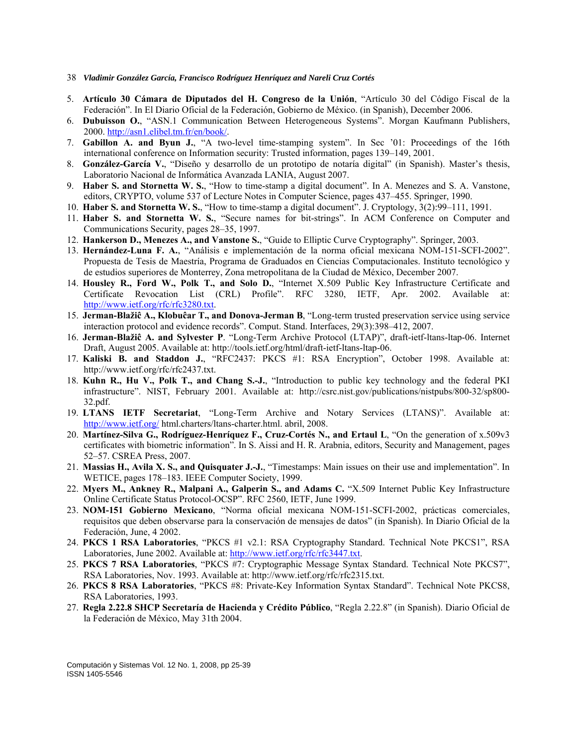- 38 *Vladimir González García, Francisco Rodríguez Henríquez and Nareli Cruz Cortés*
- 5. **Artículo 30 Cámara de Diputados del H. Congreso de la Unión**, "Artículo 30 del Código Fiscal de la Federación". In El Diario Oficial de la Federación, Gobierno de México. (in Spanish), December 2006.
- 6. **Dubuisson O.**, "ASN.1 Communication Between Heterogeneous Systems". Morgan Kaufmann Publishers, 2000. [http://asn1.elibel.tm.fr/en/book/.](http://asn1.elibel.tm.fr/en/book/)
- 7. **Gabillon A. and Byun J.**, "A two-level time-stamping system". In Sec '01: Proceedings of the 16th international conference on Information security: Trusted information, pages 139–149, 2001.
- 8. **González-García V.**, "Diseño y desarrollo de un prototipo de notaría digital" (in Spanish). Master's thesis, Laboratorio Nacional de Informática Avanzada LANIA, August 2007.
- 9. **Haber S. and Stornetta W. S.**, "How to time-stamp a digital document". In A. Menezes and S. A. Vanstone, editors, CRYPTO, volume 537 of Lecture Notes in Computer Science, pages 437–455. Springer, 1990.
- 10. **Haber S. and Stornetta W. S.**, "How to time-stamp a digital document". J. Cryptology, 3(2):99–111, 1991.
- 11. **Haber S. and Stornetta W. S.**, "Secure names for bit-strings". In ACM Conference on Computer and Communications Security, pages 28–35, 1997.
- 12. **Hankerson D., Menezes A., and Vanstone S.**, "Guide to Elliptic Curve Cryptography". Springer, 2003.
- 13. **Hernández-Luna F. A.**, "Análisis e implementación de la norma oficial mexicana NOM-151-SCFI-2002". Propuesta de Tesis de Maestría, Programa de Graduados en Ciencias Computacionales. Instituto tecnológico y de estudios superiores de Monterrey, Zona metropolitana de la Ciudad de México, December 2007.
- 14. **Housley R., Ford W., Polk T., and Solo D.**, "Internet X.509 Public Key Infrastructure Certificate and Certificate Revocation List (CRL) Profile". RFC 3280, IETF, Apr. 2002. Available at: [http://www.ietf.org/rfc/rfc3280.txt.](http://www.ietf.org/rfc/rfc3280.txt)
- 15. **Jerman-Blažiĉ A., Klobuĉar T., and Donova-Jerman B**, "Long-term trusted preservation service using service interaction protocol and evidence records". Comput. Stand. Interfaces, 29(3):398–412, 2007.
- 16. **Jerman-Blažiĉ A. and Sylvester P**. "Long-Term Archive Protocol (LTAP)", draft-ietf-ltans-ltap-06. Internet Draft, August 2005. Available at: http://tools.ietf.org/html/draft-ietf-ltans-ltap-06.
- 17. **Kaliski B. and Staddon J.**, "RFC2437: PKCS #1: RSA Encryption", October 1998. Available at: http://www.ietf.org/rfc/rfc2437.txt.
- 18. **Kuhn R., Hu V., Polk T., and Chang S.-J.**, "Introduction to public key technology and the federal PKI infrastructure". NIST, February 2001. Available at: http://csrc.nist.gov/publications/nistpubs/800-32/sp800- 32.pdf.
- 19. **LTANS IETF Secretariat**, "Long-Term Archive and Notary Services (LTANS)". Available at: <http://www.ietf.org/>html.charters/ltans-charter.html. abril, 2008.
- 20. **Martínez-Silva G., Rodríguez-Henríquez F., Cruz-Cortés N., and Ertaul L**, "On the generation of x.509v3 certificates with biometric information". In S. Aissi and H. R. Arabnia, editors, Security and Management, pages 52–57. CSREA Press, 2007.
- 21. **Massias H., Avila X. S., and Quisquater J.-J.**, "Timestamps: Main issues on their use and implementation". In WETICE, pages 178–183. IEEE Computer Society, 1999.
- 22. **Myers M., Ankney R., Malpani A., Galperin S., and Adams C.** "X.509 Internet Public Key Infrastructure Online Certificate Status Protocol-OCSP". RFC 2560, IETF, June 1999.
- 23. **NOM-151 Gobierno Mexicano**, "Norma oficial mexicana NOM-151-SCFI-2002, prácticas comerciales, requisitos que deben observarse para la conservación de mensajes de datos" (in Spanish). In Diario Oficial de la Federación, June, 4 2002.
- 24. **PKCS 1 RSA Laboratories**, "PKCS #1 v2.1: RSA Cryptography Standard. Technical Note PKCS1", RSA Laboratories, June 2002. Available at:<http://www.ietf.org/rfc/rfc3447.txt>.
- 25. **PKCS 7 RSA Laboratories**, "PKCS #7: Cryptographic Message Syntax Standard. Technical Note PKCS7", RSA Laboratories, Nov. 1993. Available at: http://www.ietf.org/rfc/rfc2315.txt.
- 26. **PKCS 8 RSA Laboratories**, "PKCS #8: Private-Key Information Syntax Standard". Technical Note PKCS8, RSA Laboratories, 1993.
- 27. **Regla 2.22.8 SHCP Secretaría de Hacienda y Crédito Público**, "Regla 2.22.8" (in Spanish). Diario Oficial de la Federación de México, May 31th 2004.